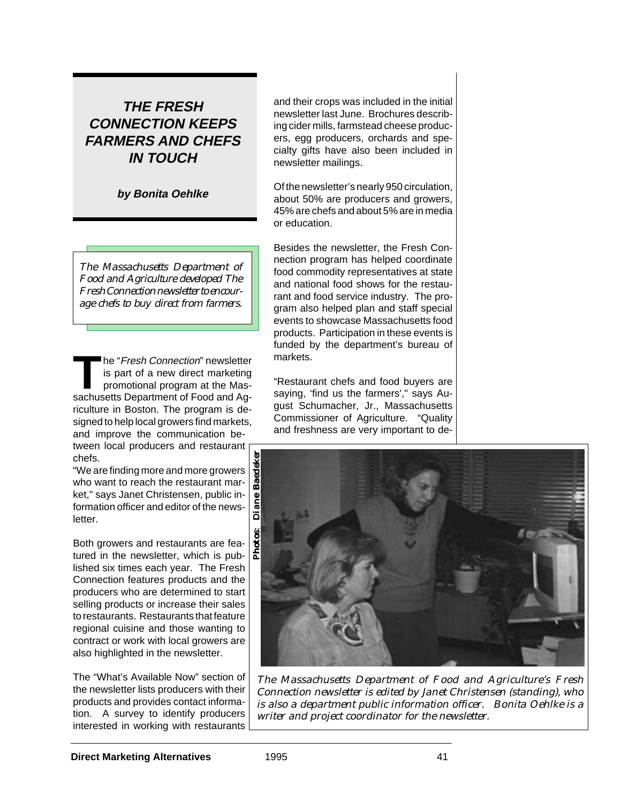# **THE FRESH CONNECTION KEEPS FARMERS AND CHEFS IN TOUCH**

**by Bonita Oehlke**

*The Massachusetts Department of Food and Agriculture developed The Fresh Connection newsletter to encourage chefs to buy direct from farmers.*

The "*Fresh Connection*" newsletter<br>
is part of a new direct marketing<br>
promotional program at the Mas-<br>
sachusetts Department of Eood and Agis part of a new direct marketing sachusetts Department of Food and Agriculture in Boston. The program is designed to help local growers find markets, and improve the communication between local producers and restaurant chefs.

"We are finding more and more growers who want to reach the restaurant market," says Janet Christensen, public information officer and editor of the newsletter.

Both growers and restaurants are featured in the newsletter, which is published six times each year. The Fresh Connection features products and the producers who are determined to start selling products or increase their sales to restaurants. Restaurants that feature regional cuisine and those wanting to contract or work with local growers are also highlighted in the newsletter.

The "What's Available Now" section of the newsletter lists producers with their products and provides contact information. A survey to identify producers interested in working with restaurants

and their crops was included in the initial newsletter last June. Brochures describing cider mills, farmstead cheese producers, egg producers, orchards and specialty gifts have also been included in newsletter mailings.

Of the newsletter's nearly 950 circulation, about 50% are producers and growers, 45% are chefs and about 5% are in media or education.

Besides the newsletter, the Fresh Connection program has helped coordinate food commodity representatives at state and national food shows for the restaurant and food service industry. The program also helped plan and staff special events to showcase Massachusetts food products. Participation in these events is funded by the department's bureau of markets.

"Restaurant chefs and food buyers are saying, 'find us the farmers'," says August Schumacher, Jr., Massachusetts Commissioner of Agriculture. "Quality and freshness are very important to de-



*The Massachusetts Department of Food and Agriculture's Fresh Connection newsletter is edited by Janet Christensen (standing), who is also a department public information officer. Bonita Oehlke is a*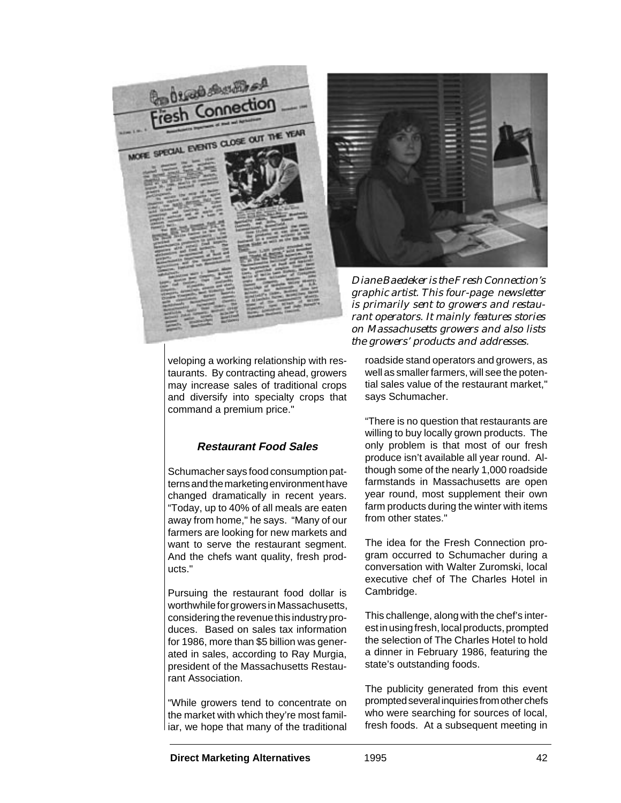

veloping a working relationship with restaurants. By contracting ahead, growers may increase sales of traditional crops and diversify into specialty crops that command a premium price."

## **Restaurant Food Sales**

Schumacher says food consumption patterns and the marketing environment have changed dramatically in recent years. "Today, up to 40% of all meals are eaten away from home," he says. "Many of our farmers are looking for new markets and want to serve the restaurant segment. And the chefs want quality, fresh products."

Pursuing the restaurant food dollar is worthwhile for growers in Massachusetts, considering the revenue this industry produces. Based on sales tax information for 1986, more than \$5 billion was generated in sales, according to Ray Murgia, president of the Massachusetts Restaurant Association.

"While growers tend to concentrate on the market with which they're most familiar, we hope that many of the traditional



*Diane Baedeker is the Fresh Connection's graphic artist. This four-page newsletter is primarily sent to growers and restaurant operators. It mainly features stories on Massachusetts growers and also lists the growers' products and addresses.*

roadside stand operators and growers, as well as smaller farmers, will see the potential sales value of the restaurant market," says Schumacher.

"There is no question that restaurants are willing to buy locally grown products. The only problem is that most of our fresh produce isn't available all year round. Although some of the nearly 1,000 roadside farmstands in Massachusetts are open year round, most supplement their own farm products during the winter with items from other states."

The idea for the Fresh Connection program occurred to Schumacher during a conversation with Walter Zuromski, local executive chef of The Charles Hotel in Cambridge.

This challenge, along with the chef's interest in using fresh, local products, prompted the selection of The Charles Hotel to hold a dinner in February 1986, featuring the state's outstanding foods.

The publicity generated from this event prompted several inquiries from other chefs who were searching for sources of local, fresh foods. At a subsequent meeting in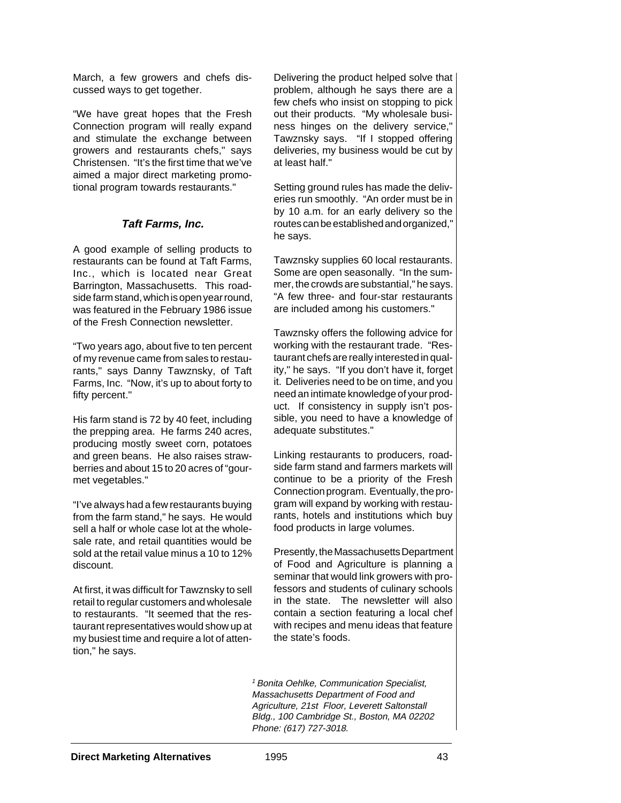March, a few growers and chefs discussed ways to get together.

"We have great hopes that the Fresh Connection program will really expand and stimulate the exchange between growers and restaurants chefs," says Christensen. "It's the first time that we've aimed a major direct marketing promotional program towards restaurants."

### **Taft Farms, Inc.**

A good example of selling products to restaurants can be found at Taft Farms, Inc., which is located near Great Barrington, Massachusetts. This roadside farm stand, which is open year round, was featured in the February 1986 issue of the Fresh Connection newsletter.

"Two years ago, about five to ten percent of my revenue came from sales to restaurants," says Danny Tawznsky, of Taft Farms, Inc. "Now, it's up to about forty to fifty percent."

His farm stand is 72 by 40 feet, including the prepping area. He farms 240 acres, producing mostly sweet corn, potatoes and green beans. He also raises strawberries and about 15 to 20 acres of "gourmet vegetables."

"I've always had a few restaurants buying from the farm stand," he says. He would sell a half or whole case lot at the wholesale rate, and retail quantities would be sold at the retail value minus a 10 to 12% discount.

At first, it was difficult for Tawznsky to sell retail to regular customers and wholesale to restaurants. "It seemed that the restaurant representatives would show up at my busiest time and require a lot of attention," he says.

Delivering the product helped solve that problem, although he says there are a few chefs who insist on stopping to pick out their products. "My wholesale business hinges on the delivery service," Tawznsky says. "If I stopped offering deliveries, my business would be cut by at least half."

Setting ground rules has made the deliveries run smoothly. "An order must be in by 10 a.m. for an early delivery so the routes can be established and organized," he says.

Tawznsky supplies 60 local restaurants. Some are open seasonally. "In the summer, the crowds are substantial," he says. "A few three- and four-star restaurants are included among his customers."

Tawznsky offers the following advice for working with the restaurant trade. "Restaurant chefs are really interested in quality," he says. "If you don't have it, forget it. Deliveries need to be on time, and you need an intimate knowledge of your product. If consistency in supply isn't possible, you need to have a knowledge of adequate substitutes."

Linking restaurants to producers, roadside farm stand and farmers markets will continue to be a priority of the Fresh Connection program. Eventually, the program will expand by working with restaurants, hotels and institutions which buy food products in large volumes.

Presently, the Massachusetts Department of Food and Agriculture is planning a seminar that would link growers with professors and students of culinary schools in the state. The newsletter will also contain a section featuring a local chef with recipes and menu ideas that feature the state's foods.

<sup>1</sup> Bonita Oehlke, Communication Specialist, Massachusetts Department of Food and Agriculture, 21st Floor, Leverett Saltonstall Bldg., 100 Cambridge St., Boston, MA 02202 Phone: (617) 727-3018.